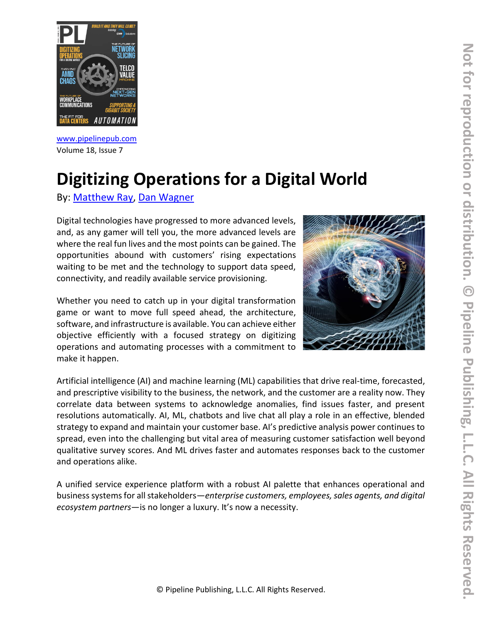

[www.pipelinepub.com](https://www.pipelinepub.com/260) Volume 18, Issue 7

# **Digitizing Operations for a Digital World**

By: [Matthew Ray,](https://www.pipelinepub.com/contributors#Matthew-Ray) [Dan Wagner](https://www.pipelinepub.com/contributors#Dan-Wagner)

Digital technologies have progressed to more advanced levels, and, as any gamer will tell you, the more advanced levels are where the real fun lives and the most points can be gained. The opportunities abound with customers' rising expectations waiting to be met and the technology to support data speed, connectivity, and readily available service provisioning.

Whether you need to catch up in your digital transformation game or want to move full speed ahead, the architecture, software, and infrastructure is available. You can achieve either objective efficiently with a focused strategy on digitizing operations and automating processes with a commitment to make it happen.



Artificial intelligence (AI) and machine learning (ML) capabilities that drive real-time, forecasted, and prescriptive visibility to the business, the network, and the customer are a reality now. They correlate data between systems to acknowledge anomalies, find issues faster, and present resolutions automatically. AI, ML, chatbots and live chat all play a role in an effective, blended strategy to expand and maintain your customer base. AI's predictive analysis power continues to spread, even into the challenging but vital area of measuring customer satisfaction well beyond qualitative survey scores. And ML drives faster and automates responses back to the customer and operations alike.

A unified service experience platform with a robust AI palette that enhances operational and business systems for all stakeholders—*enterprise customers, employees, sales agents, and digital ecosystem partners*—is no longer a luxury. It's now a necessity.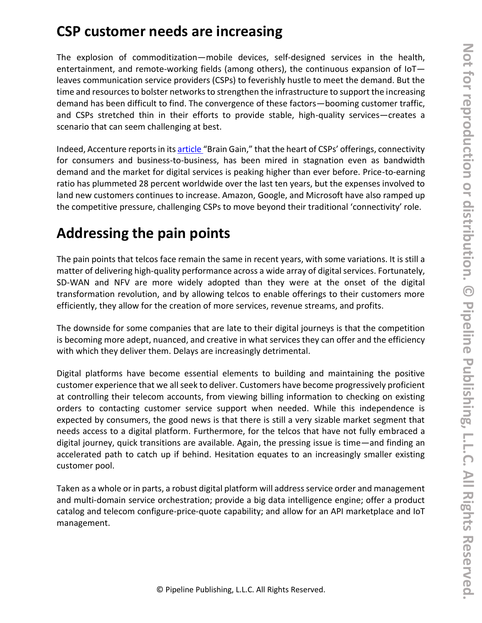## **CSP customer needs are increasing**

The explosion of commoditization—mobile devices, self-designed services in the health, entertainment, and remote-working fields (among others), the continuous expansion of IoT leaves communication service providers (CSPs) to feverishly hustle to meet the demand. But the time and resources to bolster networks to strengthen the infrastructure to support the increasing demand has been difficult to find. The convergence of these factors—booming customer traffic, and CSPs stretched thin in their efforts to provide stable, high-quality services—creates a scenario that can seem challenging at best.

Indeed, Accenture reports in it[s article](https://www.accenture.com/_acnmedia/PDF-149/Accenture-Brain-Gain.pdf) "Brain Gain," that the heart of CSPs' offerings, connectivity for consumers and business-to-business, has been mired in stagnation even as bandwidth demand and the market for digital services is peaking higher than ever before. Price-to-earning ratio has plummeted 28 percent worldwide over the last ten years, but the expenses involved to land new customers continues to increase. Amazon, Google, and Microsoft have also ramped up the competitive pressure, challenging CSPs to move beyond their traditional 'connectivity' role.

# **Addressing the pain points**

The pain points that telcos face remain the same in recent years, with some variations. It is still a matter of delivering high-quality performance across a wide array of digital services. Fortunately, SD-WAN and NFV are more widely adopted than they were at the onset of the digital transformation revolution, and by allowing telcos to enable offerings to their customers more efficiently, they allow for the creation of more services, revenue streams, and profits.

The downside for some companies that are late to their digital journeys is that the competition is becoming more adept, nuanced, and creative in what services they can offer and the efficiency with which they deliver them. Delays are increasingly detrimental.

Digital platforms have become essential elements to building and maintaining the positive customer experience that we all seek to deliver. Customers have become progressively proficient at controlling their telecom accounts, from viewing billing information to checking on existing orders to contacting customer service support when needed. While this independence is expected by consumers, the good news is that there is still a very sizable market segment that needs access to a digital platform. Furthermore, for the telcos that have not fully embraced a digital journey, quick transitions are available. Again, the pressing issue is time—and finding an accelerated path to catch up if behind. Hesitation equates to an increasingly smaller existing customer pool.

Taken as a whole or in parts, a robust digital platform will address service order and management and multi-domain service orchestration; provide a big data intelligence engine; offer a product catalog and telecom configure-price-quote capability; and allow for an API marketplace and IoT management.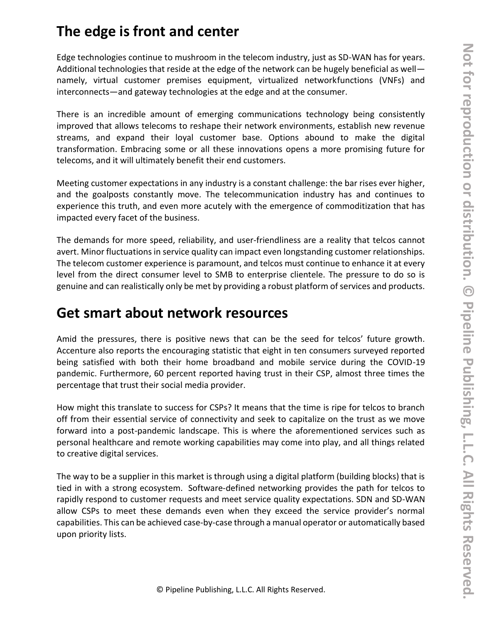## **The edge is front and center**

Edge technologies continue to mushroom in the telecom industry, just as SD-WAN has for years. Additional technologies that reside at the edge of the network can be hugely beneficial as well namely, virtual customer premises equipment, virtualized networkfunctions (VNFs) and interconnects—and gateway technologies at the edge and at the consumer.

There is an incredible amount of emerging communications technology being consistently improved that allows telecoms to reshape their network environments, establish new revenue streams, and expand their loyal customer base. Options abound to make the digital transformation. Embracing some or all these innovations opens a more promising future for telecoms, and it will ultimately benefit their end customers.

Meeting customer expectations in any industry is a constant challenge: the bar rises ever higher, and the goalposts constantly move. The telecommunication industry has and continues to experience this truth, and even more acutely with the emergence of commoditization that has impacted every facet of the business.

The demands for more speed, reliability, and user-friendliness are a reality that telcos cannot avert. Minor fluctuations in service quality can impact even longstanding customer relationships. The telecom customer experience is paramount, and telcos must continue to enhance it at every level from the direct consumer level to SMB to enterprise clientele. The pressure to do so is genuine and can realistically only be met by providing a robust platform of services and products.

## **Get smart about network resources**

Amid the pressures, there is positive news that can be the seed for telcos' future growth. Accenture also reports the encouraging statistic that eight in ten consumers surveyed reported being satisfied with both their home broadband and mobile service during the COVID-19 pandemic. Furthermore, 60 percent reported having trust in their CSP, almost three times the percentage that trust their social media provider.

How might this translate to success for CSPs? It means that the time is ripe for telcos to branch off from their essential service of connectivity and seek to capitalize on the trust as we move forward into a post-pandemic landscape. This is where the aforementioned services such as personal healthcare and remote working capabilities may come into play, and all things related to creative digital services.

The way to be a supplier in this market is through using a digital platform (building blocks) that is tied in with a strong ecosystem. Software-defined networking provides the path for telcos to rapidly respond to customer requests and meet service quality expectations. SDN and SD-WAN allow CSPs to meet these demands even when they exceed the service provider's normal capabilities. This can be achieved case-by-case through a manual operator or automatically based upon priority lists.